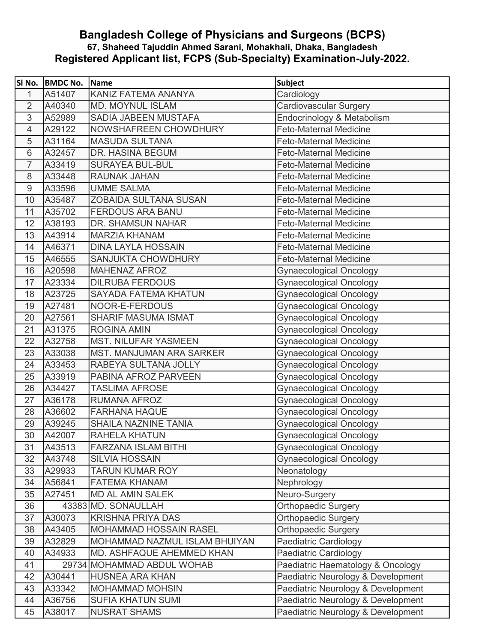## Bangladesh College of Physicians and Surgeons (BCPS) 67, Shaheed Tajuddin Ahmed Sarani, Mohakhali, Dhaka, Bangladesh Registered Applicant list, FCPS (Sub-Specialty) Examination-July-2022.

| SI No.          | <b>BMDC No.</b> | <b>Name</b>                     | Subject                            |
|-----------------|-----------------|---------------------------------|------------------------------------|
| $\mathbf{1}$    | A51407          | KANIZ FATEMA ANANYA             | Cardiology                         |
| 2               | A40340          | <b>MD. MOYNUL ISLAM</b>         | Cardiovascular Surgery             |
| 3               | A52989          | SADIA JABEEN MUSTAFA            | Endocrinology & Metabolism         |
| $\overline{4}$  | A29122          | NOWSHAFREEN CHOWDHURY           | <b>Feto-Maternal Medicine</b>      |
| 5               | A31164          | <b>MASUDA SULTANA</b>           | <b>Feto-Maternal Medicine</b>      |
| $6\phantom{1}6$ | A32457          | DR. HASINA BEGUM                | <b>Feto-Maternal Medicine</b>      |
| $\overline{7}$  | A33419          | <b>SURAYEA BUL-BUL</b>          | <b>Feto-Maternal Medicine</b>      |
| 8               | A33448          | <b>RAUNAK JAHAN</b>             | <b>Feto-Maternal Medicine</b>      |
| 9               | A33596          | <b>UMME SALMA</b>               | <b>Feto-Maternal Medicine</b>      |
| 10              | A35487          | <b>ZOBAIDA SULTANA SUSAN</b>    | <b>Feto-Maternal Medicine</b>      |
| 11              | A35702          | <b>FERDOUS ARA BANU</b>         | <b>Feto-Maternal Medicine</b>      |
| 12              | A38193          | DR. SHAMSUN NAHAR               | <b>Feto-Maternal Medicine</b>      |
| 13              | A43914          | <b>MARZIA KHANAM</b>            | <b>Feto-Maternal Medicine</b>      |
| 14              | A46371          | <b>DINA LAYLA HOSSAIN</b>       | <b>Feto-Maternal Medicine</b>      |
| 15              | A46555          | SANJUKTA CHOWDHURY              | <b>Feto-Maternal Medicine</b>      |
| 16              | A20598          | <b>MAHENAZ AFROZ</b>            | <b>Gynaecological Oncology</b>     |
| 17              | A23334          | <b>DILRUBA FERDOUS</b>          | <b>Gynaecological Oncology</b>     |
| 18              | A23725          | <b>SAYADA FATEMA KHATUN</b>     | <b>Gynaecological Oncology</b>     |
| 19              | A27481          | NOOR-E-FERDOUS                  | <b>Gynaecological Oncology</b>     |
| 20              | A27561          | <b>SHARIF MASUMA ISMAT</b>      | <b>Gynaecological Oncology</b>     |
| 21              | A31375          | <b>ROGINA AMIN</b>              | <b>Gynaecological Oncology</b>     |
| 22              | A32758          | <b>MST. NILUFAR YASMEEN</b>     | <b>Gynaecological Oncology</b>     |
| 23              | A33038          | <b>MST. MANJUMAN ARA SARKER</b> | <b>Gynaecological Oncology</b>     |
| 24              | A33453          | RABEYA SULTANA JOLLY            | <b>Gynaecological Oncology</b>     |
| 25              | A33919          | PABINA AFROZ PARVEEN            | <b>Gynaecological Oncology</b>     |
| 26              | A34427          | <b>TASLIMA AFROSE</b>           | <b>Gynaecological Oncology</b>     |
| 27              | A36178          | <b>RUMANA AFROZ</b>             | <b>Gynaecological Oncology</b>     |
| 28              | A36602          | <b>FARHANA HAQUE</b>            | Gynaecological Oncology            |
| 29              | A39245          | <b>SHAILA NAZNINE TANIA</b>     | <b>Gynaecological Oncology</b>     |
| 30              | A42007          | <b>RAHELA KHATUN</b>            | <b>Gynaecological Oncology</b>     |
| 31              | A43513          | <b>FARZANA ISLAM BITHI</b>      | <b>Gynaecological Oncology</b>     |
| 32              | A43748          | <b>SILVIA HOSSAIN</b>           | <b>Gynaecological Oncology</b>     |
| 33              | A29933          | <b>TARUN KUMAR ROY</b>          | Neonatology                        |
| 34              | A56841          | <b>FATEMA KHANAM</b>            | Nephrology                         |
| 35              | A27451          | <b>MD AL AMIN SALEK</b>         | Neuro-Surgery                      |
| 36              |                 | 43383 MD. SONAULLAH             | <b>Orthopaedic Surgery</b>         |
| 37              | A30073          | <b>KRISHNA PRIYA DAS</b>        | <b>Orthopaedic Surgery</b>         |
| 38              | A43405          | MOHAMMAD HOSSAIN RASEL          | <b>Orthopaedic Surgery</b>         |
| 39              | A32829          | MOHAMMAD NAZMUL ISLAM BHUIYAN   | Paediatric Cardiology              |
| 40              | A34933          | MD. ASHFAQUE AHEMMED KHAN       | Paediatric Cardiology              |
| 41              |                 | 29734 MOHAMMAD ABDUL WOHAB      | Paediatric Haematology & Oncology  |
| 42              | A30441          | <b>HUSNEA ARA KHAN</b>          | Paediatric Neurology & Development |
| 43              | A33342          | <b>MOHAMMAD MOHSIN</b>          | Paediatric Neurology & Development |
| 44              | A36756          | <b>SUFIA KHATUN SUMI</b>        | Paediatric Neurology & Development |
| 45              | A38017          | <b>NUSRAT SHAMS</b>             | Paediatric Neurology & Development |